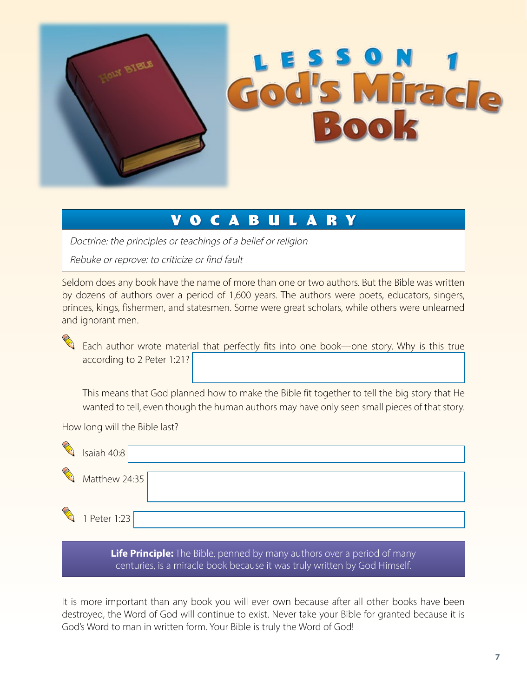

## **VOCABULARY**

Doctrine: the principles or teachings of a belief or religion

Rebuke or reprove: to criticize or find fault

Seldom does any book have the name of more than one or two authors. But the Bible was written by dozens of authors over a period of 1,600 years. The authors were poets, educators, singers, princes, kings, fishermen, and statesmen. Some were great scholars, while others were unlearned and ignorant men.

Each author wrote material that perfectly fits into one book—one story. Why is this true according to 2 Peter 1:21?

This means that God planned how to make the Bible fit together to tell the big story that He wanted to tell, even though the human authors may have only seen small pieces of that story.

How long will the Bible last?

| ◈ | Isaiah 40:8   |  |
|---|---------------|--|
| ◈ | Matthew 24:35 |  |
| Q |               |  |
|   | 1 Peter 1:23  |  |

**Life Principle:** The Bible, penned by many authors over a period of many centuries, is a miracle book because it was truly written by God Himself.

It is more important than any book you will ever own because after all other books have been destroyed, the Word of God will continue to exist. Never take your Bible for granted because it is God's Word to man in written form. Your Bible is truly the Word of God!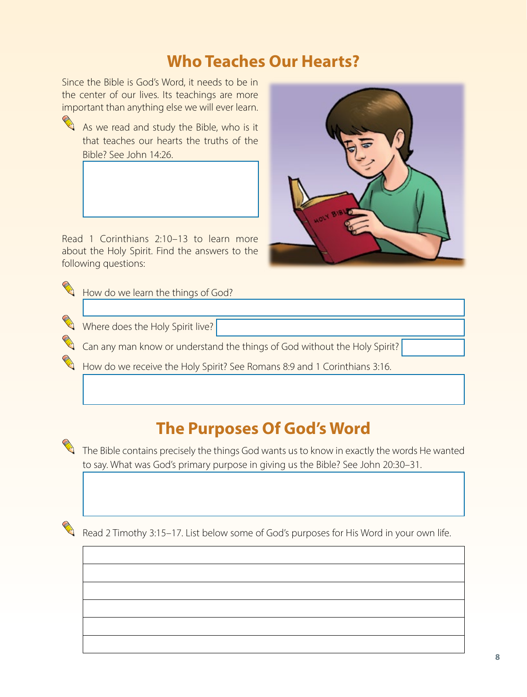## **Who Teaches Our Hearts?**

Since the Bible is God's Word, it needs to be in the center of our lives. Its teachings are more important than anything else we will ever learn.



As we read and study the Bible, who is it that teaches our hearts the truths of the Bible? See John 14:26.

Read 1 Corinthians 2:10–13 to learn more about the Holy Spirit. Find the answers to the following questions:

How do we learn the things of God?

Where does the Holy Spirit live?

Can any man know or understand the things of God without the Holy Spirit?

How do we receive the Holy Spirit? See Romans 8:9 and 1 Corinthians 3:16.

## **The Purposes Of God's Word**

 $\Box$  The Bible contains precisely the things God wants us to know in exactly the words He wanted to say. What was God's primary purpose in giving us the Bible? See John 20:30–31.

Read 2 Timothy 3:15–17. List below some of God's purposes for His Word in your own life.

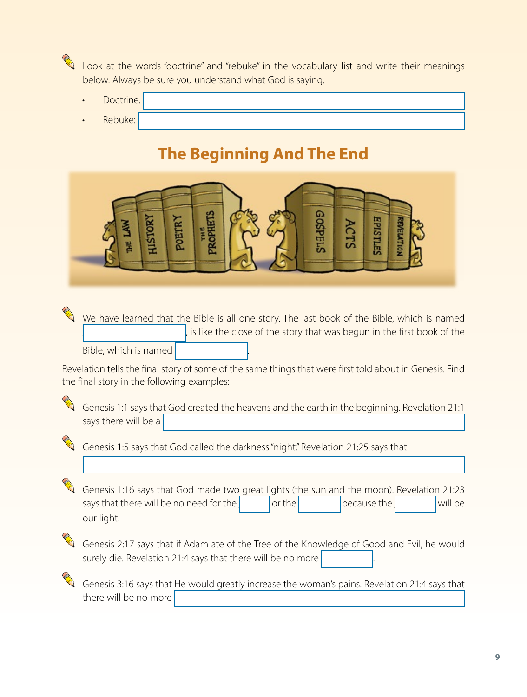

Look at the words "doctrine" and "rebuke" in the vocabulary list and write their meanings below. Always be sure you understand what God is saying.

- Doctrine:
- Rebuke:

## **The Beginning And The End**



We have learned that the Bible is all one story. The last book of the Bible, which is named is like the close of the story that was begun in the first book of the Bible, which is named

Revelation tells the final story of some of the same things that were first told about in Genesis. Find the final story in the following examples:

Genesis 1:1 says that God created the heavens and the earth in the beginning. Revelation 21:1 says there will be a



Genesis 1:5 says that God called the darkness "night." Revelation 21:25 says that

Genesis 1:16 says that God made two great lights (the sun and the moon). Revelation 21:23 says that there will be no need for the  $\vert$  or the  $\vert$  because the  $\vert$  will be our light.



Genesis 2:17 says that if Adam ate of the Tree of the Knowledge of Good and Evil, he would surely die. Revelation 21:4 says that there will be no more

Genesis 3:16 says that He would greatly increase the woman's pains. Revelation 21:4 says that there will be no more